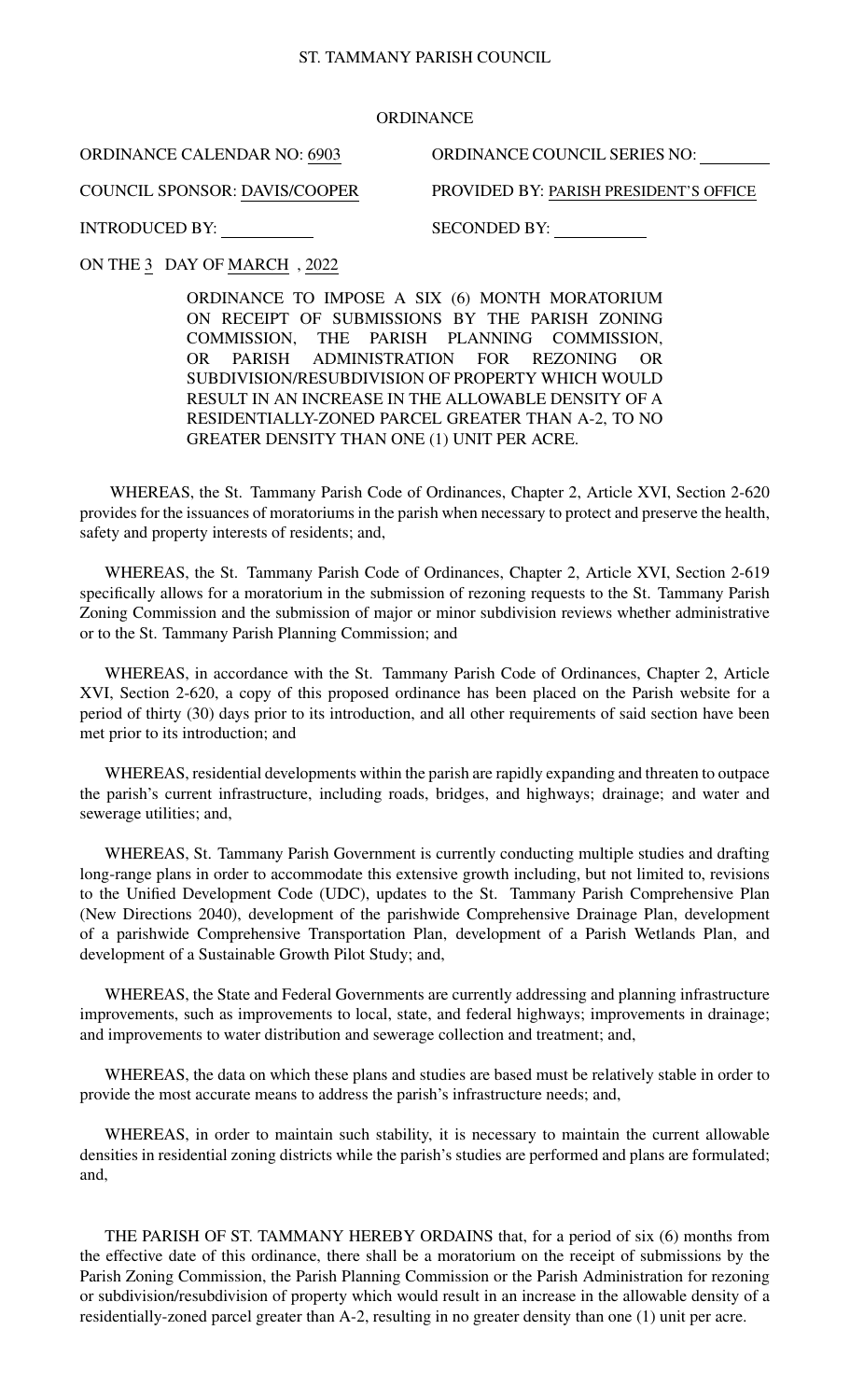## ST. TAMMANY PARISH COUNCIL

## **ORDINANCE**

ORDINANCE CALENDAR NO: 6903 ORDINANCE COUNCIL SERIES NO:

COUNCIL SPONSOR: DAVIS/COOPER PROVIDED BY: PARISH PRESIDENT'S OFFICE

INTRODUCED BY: SECONDED BY:

ON THE 3 DAY OF MARCH , 2022

ORDINANCE TO IMPOSE A SIX (6) MONTH MORATORIUM ON RECEIPT OF SUBMISSIONS BY THE PARISH ZONING COMMISSION, THE PARISH PLANNING COMMISSION, OR PARISH ADMINISTRATION FOR REZONING OR SUBDIVISION/RESUBDIVISION OF PROPERTY WHICH WOULD RESULT IN AN INCREASE IN THE ALLOWABLE DENSITY OF A RESIDENTIALLY-ZONED PARCEL GREATER THAN A-2, TO NO GREATER DENSITY THAN ONE (1) UNIT PER ACRE.

WHEREAS, the St. Tammany Parish Code of Ordinances, Chapter 2, Article XVI, Section 2-620 provides for the issuances of moratoriums in the parish when necessary to protect and preserve the health, safety and property interests of residents; and,

WHEREAS, the St. Tammany Parish Code of Ordinances, Chapter 2, Article XVI, Section 2-619 specifically allows for a moratorium in the submission of rezoning requests to the St. Tammany Parish Zoning Commission and the submission of major or minor subdivision reviews whether administrative or to the St. Tammany Parish Planning Commission; and

WHEREAS, in accordance with the St. Tammany Parish Code of Ordinances, Chapter 2, Article XVI, Section 2-620, a copy of this proposed ordinance has been placed on the Parish website for a period of thirty (30) days prior to its introduction, and all other requirements of said section have been met prior to its introduction; and

WHEREAS, residential developments within the parish are rapidly expanding and threaten to outpace the parish's current infrastructure, including roads, bridges, and highways; drainage; and water and sewerage utilities; and,

WHEREAS, St. Tammany Parish Government is currently conducting multiple studies and drafting long-range plans in order to accommodate this extensive growth including, but not limited to, revisions to the Unified Development Code (UDC), updates to the St. Tammany Parish Comprehensive Plan (New Directions 2040), development of the parishwide Comprehensive Drainage Plan, development of a parishwide Comprehensive Transportation Plan, development of a Parish Wetlands Plan, and development of a Sustainable Growth Pilot Study; and,

WHEREAS, the State and Federal Governments are currently addressing and planning infrastructure improvements, such as improvements to local, state, and federal highways; improvements in drainage; and improvements to water distribution and sewerage collection and treatment; and,

WHEREAS, the data on which these plans and studies are based must be relatively stable in order to provide the most accurate means to address the parish's infrastructure needs; and,

WHEREAS, in order to maintain such stability, it is necessary to maintain the current allowable densities in residential zoning districts while the parish's studies are performed and plans are formulated; and,

THE PARISH OF ST. TAMMANY HEREBY ORDAINS that, for a period of six (6) months from the effective date of this ordinance, there shall be a moratorium on the receipt of submissions by the Parish Zoning Commission, the Parish Planning Commission or the Parish Administration for rezoning or subdivision/resubdivision of property which would result in an increase in the allowable density of a residentially-zoned parcel greater than A-2, resulting in no greater density than one (1) unit per acre.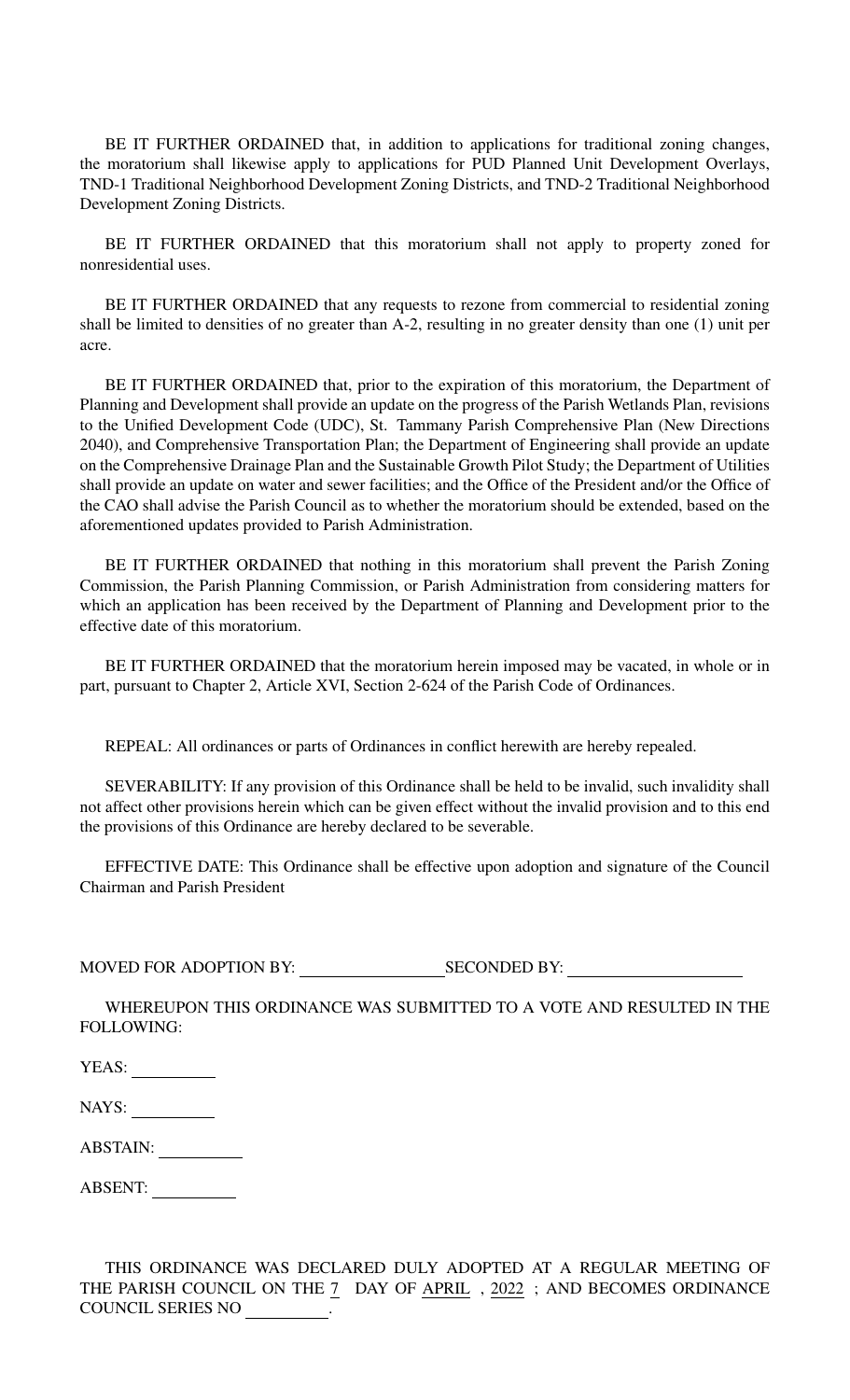BE IT FURTHER ORDAINED that, in addition to applications for traditional zoning changes, the moratorium shall likewise apply to applications for PUD Planned Unit Development Overlays, TND-1 Traditional Neighborhood Development Zoning Districts, and TND-2 Traditional Neighborhood Development Zoning Districts.

BE IT FURTHER ORDAINED that this moratorium shall not apply to property zoned for nonresidential uses.

BE IT FURTHER ORDAINED that any requests to rezone from commercial to residential zoning shall be limited to densities of no greater than A-2, resulting in no greater density than one (1) unit per acre.

BE IT FURTHER ORDAINED that, prior to the expiration of this moratorium, the Department of Planning and Development shall provide an update on the progress of the Parish Wetlands Plan, revisions to the Unified Development Code (UDC), St. Tammany Parish Comprehensive Plan (New Directions 2040), and Comprehensive Transportation Plan; the Department of Engineering shall provide an update on the Comprehensive Drainage Plan and the Sustainable Growth Pilot Study; the Department of Utilities shall provide an update on water and sewer facilities; and the Office of the President and/or the Office of the CAO shall advise the Parish Council as to whether the moratorium should be extended, based on the aforementioned updates provided to Parish Administration.

BE IT FURTHER ORDAINED that nothing in this moratorium shall prevent the Parish Zoning Commission, the Parish Planning Commission, or Parish Administration from considering matters for which an application has been received by the Department of Planning and Development prior to the effective date of this moratorium.

BE IT FURTHER ORDAINED that the moratorium herein imposed may be vacated, in whole or in part, pursuant to Chapter 2, Article XVI, Section 2-624 of the Parish Code of Ordinances.

REPEAL: All ordinances or parts of Ordinances in conflict herewith are hereby repealed.

SEVERABILITY: If any provision of this Ordinance shall be held to be invalid, such invalidity shall not affect other provisions herein which can be given effect without the invalid provision and to this end the provisions of this Ordinance are hereby declared to be severable.

EFFECTIVE DATE: This Ordinance shall be effective upon adoption and signature of the Council Chairman and Parish President

MOVED FOR ADOPTION BY: SECONDED BY:

WHEREUPON THIS ORDINANCE WAS SUBMITTED TO A VOTE AND RESULTED IN THE FOLLOWING:

YEAS:

NAYS:

ABSTAIN:

ABSENT:

THIS ORDINANCE WAS DECLARED DULY ADOPTED AT A REGULAR MEETING OF THE PARISH COUNCIL ON THE 7 DAY OF APRIL, 2022; AND BECOMES ORDINANCE COUNCIL SERIES NO .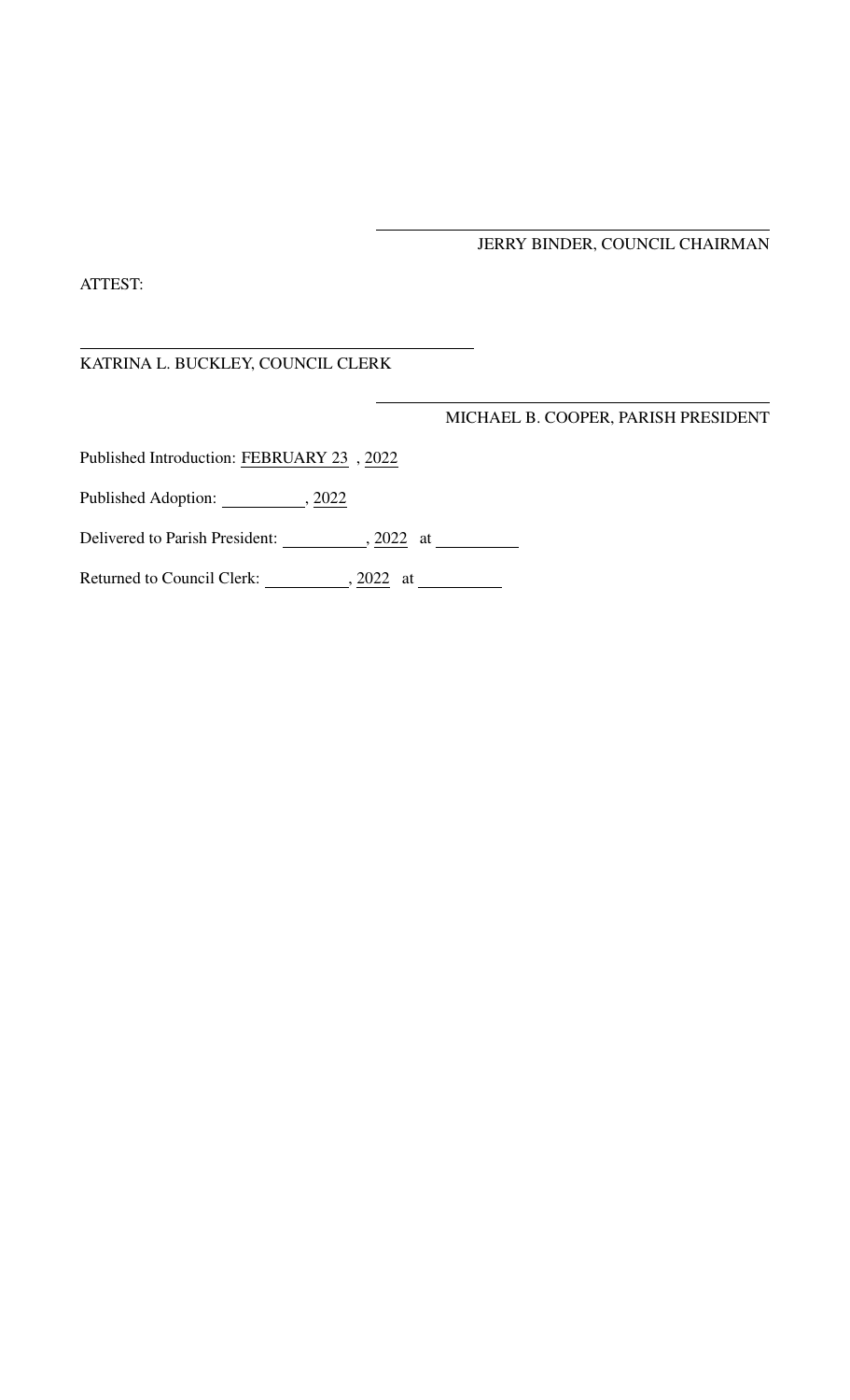JERRY BINDER, COUNCIL CHAIRMAN

ATTEST:

KATRINA L. BUCKLEY, COUNCIL CLERK

MICHAEL B. COOPER, PARISH PRESIDENT

Published Introduction: FEBRUARY 23 , 2022

Published Adoption: 3022

Delivered to Parish President: , 2022 at

Returned to Council Clerk:  $\frac{2022}{\pi}$  at  $\frac{2022}{\pi}$